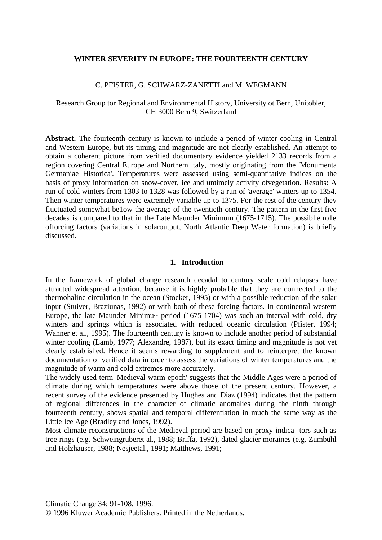#### C. PFISTER, G. SCHWARZ-ZANETTI and M. WEGMANN

# Research Group tor Regional and Environmental History, University ot Bern, Unitobler, CH 3000 Bern 9, Switzerland

Abstract. The fourteenth century is known to include a period of winter cooling in Central and Western Europe, but its timing and magnitude are not clearly established. An attempt to obtain a coherent picture from verified documentary evidence yielded 2133 records from a region covering Central Europe and Northem ltaly, mostly originating from the 'Monumenta Germaniae Historica'. Temperatures were assessed using semi-quantitative indices on the basis of proxy information on snow-cover, ice and untimely activity ofvegetation. Results: A run of cold winters from 1303 to 1328 was followed by a run of 'average' winters up to 1354. Then winter temperatures were extremely variable up to 1375. For the rest of the century they fluctuated somewhat be1ow the average of the twentieth century. The pattern in the first five decades is compared to that in the Late Maunder Minimum (1675-1715). The possib1e ro1e offorcing factors (variations in solaroutput, North Atlantic Deep Water formation) is briefly discussed.

#### **1. Introduction**

In the framework of global change research decadal to century scale cold relapses have attracted widespread attention, because it is highly probable that they are connected to the thermohaline circulation in the ocean (Stocker, 1995) or with a possible reduction of the solar input (Stuiver, Braziunas, 1992) or with both of these forcing factors. In continental western Europe, the late Maunder Minimu $\sim$  period (1675-1704) was such an interval with cold, dry winters and springs which is associated with reduced oceanic circulation (Pfister, 1994; Wanner et al., 1995). The fourteenth century is known to include another period of substantial winter cooling (Lamb, 1977; Alexandre, 1987), but its exact timing and magnitude is not yet clearly established. Hence it seems rewarding to supplement and to reinterpret the known documentation of verified data in order to assess the variations of winter temperatures and the magnitude of warm and cold extremes more accurately.

The widely used term 'Medieval warm epoch' suggests that the Middle Ages were a period of climate during which temperatures were above those of the present century. However, a recent survey of the evidence presented by Hughes and Diaz (1994) indicates that the pattern of regional differences in the character of climatic anomalies during the ninth through fourteenth century, shows spatial and temporal differentiation in much the same way as the Little Ice Age (Bradley and Jones, 1992).

Most climate reconstructions of the Medieval period are based on proxy indica- tors such as tree rings (e.g. Schweingruberet al., 1988; Briffa, 1992), dated glacier moraines (e.g. Zumbühl and Holzhauser, 1988; Nesjeetal., 1991; Matthews, 1991;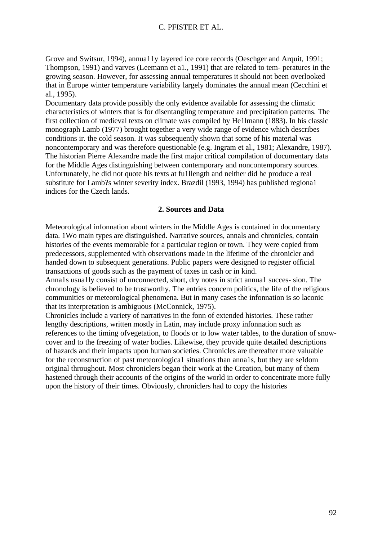Grove and Switsur, 1994), annua11y layered ice core records (Oeschger and Arquit, 1991; Thompson, 1991) and varves (Leemann et a1., 1991) that are related to tem- peratures in the growing season. However, for assessing annual temperatures it should not been overlooked that in Europe winter temperature variability largely dominates the annual mean (Cecchini et al., 1995).

Documentary data provide possibly the only evidence available for assessing the climatic characteristics of winters that is for disentangling temperature and precipitation patterns. The first collection of medieval texts on climate was compiled by He1lmann (1883). In his classic monograph Lamb (1977) brought together a very wide range of evidence which describes conditions ir. the cold season. It was subsequently shown that some of his material was noncontemporary and was therefore questionable (e.g. Ingram et al., 1981; Alexandre, 1987). The historian Pierre Alexandre made the first major critical compilation of documentary data for the Middle Ages distinguishing between contemporary and noncontemporary sources. Unfortunately, he did not quote his texts at fu1llength and neither did he produce a real substitute for Lamb?s winter severity index. Brazdil (1993, 1994) has published regiona1 indices for the Czech lands.

# **2. Sources and Data**

Meteorological infonnation about winters in the Middle Ages is contained in documentary data. 1Wo main types are distinguished. Narrative sources, annals and chronicles, contain histories of the events memorable for a particular region or town. They were copied from predecessors, supplemented with observations made in the lifetime of the chronicler and handed down to subsequent generations. Public papers were designed to register official transactions of goods such as the payment of taxes in cash or in kind.

Anna1s usua1ly consist of unconnected, short, dry notes in strict annua1 succes- sion. The chronology is believed to be trustworthy. The entries concem politics, the life of the religious communities or meteorological phenomena. But in many cases the infonnation is so laconic that its interpretation is ambiguous (McConnick, 1975).

Chronicles include a variety of narratives in the fonn of extended histories. These rather lengthy descriptions, written mostly in Latin, may include proxy infonnation such as references to the timing ofvegetation, to floods or to low water tables, to the duration of snowcover and to the freezing of water bodies. Likewise, they provide quite detailed descriptions of hazards and their impacts upon human societies. Chronicles are thereafter more valuable for the reconstruction of past meteorologica1 situations than anna1s, but they are seIdom original throughout. Most chroniclers began their work at the Creation, but many of them hastened through their accounts of the origins of the world in order to concentrate more fully upon the history of their times. Obviously, chroniclers had to copy the histories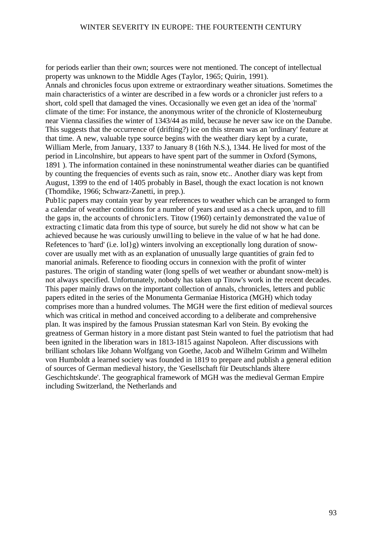for periods earlier than their own; sources were not mentioned. The concept of intellectual property was unknown to the Middle Ages (Taylor, 1965; Quirin, 1991).

Annals and chronicles focus upon extreme or extraordinary weather situations. Sometimes the main characteristics of a winter are described in a few words or a chronicler just refers to a short, cold spell that damaged the vines. Occasionally we even get an idea of the 'normal' climate of the time: For instance, the anonymous writer of the chronicle of Klosterneuburg near Vienna classifies the winter of 1343/44 as mild, because he never saw ice on the Danube. This suggests that the occurrence of (drifting?) ice on this stream was an 'ordinary' feature at that time. A new, valuable type source begins with the weather diary kept by a curate, William Merle, from January, 1337 to January 8 (16th N.S.), 1344. He lived for most of the period in Lincolnshire, but appears to have spent part of the summer in Oxford (Symons, 1891 ). The information contained in these noninstrumental weather diaries can be quantified by counting the frequencies of events such as rain, snow etc.. Another diary was kept from August, 1399 to the end of 1405 probably in Basel, though the exact location is not known (Thomdike, 1966; Schwarz-Zanetti, in prep.).

Pub1ic papers may contain year by year references to weather which can be arranged to form a calendar of weather conditions for a number of years and used as a check upon, and to fill the gaps in, the accounts of chronic1ers. Titow (1960) certain1y demonstrated the va1ue of extracting c1imatic data from this type of source, but surely he did not show w hat can be achieved because he was curiously unwil1ing to believe in the value of w hat he had done. Refetences to 'hard' (i.e. loI \g) winters involving an exceptionally long duration of snowcover are usually met with as an explanation of unusually large quantities of grain fed to manorial animals. Reference to fiooding occurs in connexion with the profit of winter pastures. The origin of standing water (long spells of wet weather or abundant snow-melt) is not always specified. Unfortunately, nobody has taken up Titow's work in the recent decades. This paper mainly draws on the important collection of annals, chronicles, letters and public papers edited in the series of the Monumenta Germaniae Historica (MGH) which today comprises more than a hundred volumes. The MGH were the first edition of medieval sources which was critical in method and conceived according to a deliberate and comprehensive plan. It was inspired by the famous Prussian statesman Karl von Stein. By evoking the greatness of German history in a more distant past Stein wanted to fuel the patriotism that had been ignited in the liberation wars in 1813-1815 against Napoleon. After discussions with brilliant scholars like Johann Wolfgang von Goethe, Jacob and Wilhelm Grimm and Wilhelm von Humboldt a learned society was founded in 1819 to prepare and publish a general edition of sources of German medieval history, the 'Gesellschaft für Deutschlands ältere Geschichtskunde'. The geographical framework of MGH was the medieval German Empire including Switzerland, the Netherlands and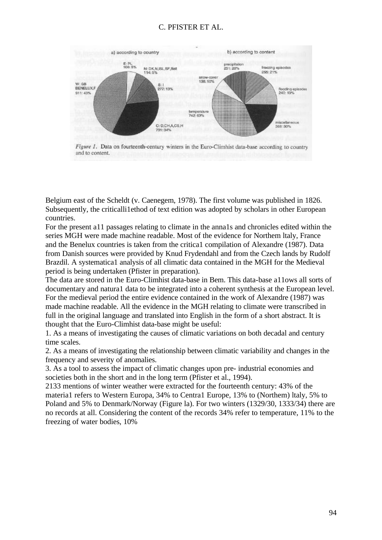

Belgium east of the Scheldt (v. Caenegem, 1978). The first volume was published in 1826. Subsequently, the criticalli1ethod of text edition was adopted by scholars in other European countries.

For the present a11 passages relating to climate in the anna1s and chronicles edited within the series MGH were made machine readable. Most of the evidence for Northem ltaly, France and the Benelux countries is taken from the critica1 compilation of Alexandre (1987). Data from Danish sources were provided by Knud Frydendahl and from the Czech lands by Rudolf Brazdil. A systematica1 analysis of all climatic data contained in the MGH for the Medieval period is being undertaken (Pfister in preparation).

The data are stored in the Euro-Climhist data-base in Bem. This data-base a11ows all sorts of documentary and natura1 data to be integrated into a coherent synthesis at the European level. For the medieval period the entire evidence contained in the work of Alexandre (1987) was made machine readable. All the evidence in the MGH relating to climate were transcribed in full in the original language and translated into English in the form of a short abstract. It is thought that the Euro-Climhist data-base might be useful:

1. As a means of investigating the causes of climatic variations on both decadal and century time scales.

2. As a means of investigating the relationship between climatic variability and changes in the frequency and severity of anomalies.

3. As a tool to assess the impact of climatic changes upon pre- industrial economies and societies both in the short and in the long term (Pfister et al., 1994).

2133 mentions of winter weather were extracted for the fourteenth century: 43% of the materia1 refers to Western Europa, 34% to Centra1 Europe, 13% to (Northem) ltaly, 5% to Poland and 5% to Denmark/Norway (Figure la). For two winters (1329/30, 1333/34) there are no records at all. Considering the content of the records 34% refer to temperature, 11% to the freezing of water bodies, 10%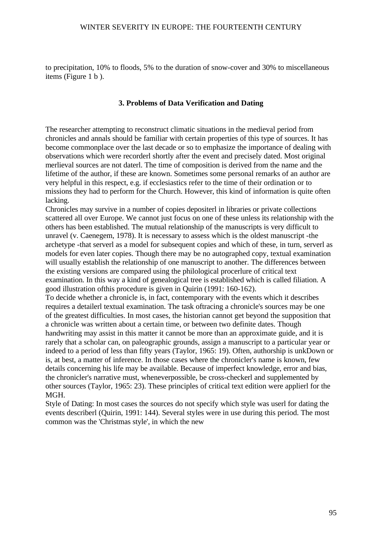to precipitation, 10% to floods, 5% to the duration of snow-cover and 30% to miscellaneous items (Figure 1 b ).

# **3. Problems of Data Verification and Dating**

The researcher attempting to reconstruct climatic situations in the medieval period from chronicles and annals should be familiar with certain properties of this type of sources. It has become commonplace over the last decade or so to emphasize the importance of dealing with observations which were recorderl shortly after the event and precisely dated. Most original merlieval sources are not daterl. The time of composition is derived from the name and the lifetime of the author, if these are known. Sometimes some personal remarks of an author are very helpful in this respect, e.g. if ecclesiastics refer to the time of their ordination or to missions they had to perform for the Church. However, this kind of information is quite often lacking.

Chronicles may survive in a number of copies depositerl in libraries or private collections scattered all over Europe. We cannot just focus on one of these unless its relationship with the others has been established. The mutual relationship of the manuscripts is very difficult to unravel (v. Caenegem, 1978). It is necessary to assess which is the oldest manuscript -the archetype -that serverl as a model for subsequent copies and which of these, in turn, serverl as models for even later copies. Though there may be no autographed copy, textual examination will usually establish the relationship of one manuscript to another. The differences between the existing versions are compared using the philological procerlure of critical text examination. In this way a kind of genealogical tree is established which is called filiation. A good illustration ofthis procedure is given in Quirin (1991: 160-162).

To decide whether a chronicle is, in fact, contemporary with the events which it describes requires a detailerl textual examination. The task oftracing a chronicle's sources may be one of the greatest difficulties. In most cases, the historian cannot get beyond the supposition that a chronicle was written about a certain time, or between two definite dates. Though handwriting may assist in this matter it cannot be more than an approximate guide, and it is rarely that a scholar can, on paleographic grounds, assign a manuscript to a particular year or indeed to a period of less than fifty years (Taylor, 1965: 19). Often, authorship is unkDown or is, at best, a matter of inference. In those cases where the chronicler's name is known, few details concerning his life may be available. Because of imperfect knowledge, error and bias, the chronicler's narrative must, wheneverpossible, be cross-checkerl and supplemented by other sources (Taylor, 1965: 23). These principles of critical text edition were applierl for the MGH.

Style of Dating: In most cases the sources do not specify which style was userl for dating the events describerl (Quirin, 1991: 144). Several styles were in use during this period. The most common was the 'Christmas style', in which the new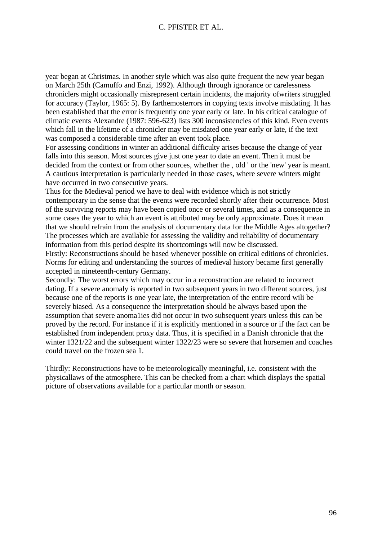year began at Christmas. In another style which was also quite frequent the new year began on March 25th (Camuffo and Enzi, 1992). Although through ignorance or carelessness chroniclers might occasionally misrepresent certain incidents, the majority ofwriters struggled for accuracy (Taylor, 1965: 5). By farthemosterrors in copying texts involve misdating. It has been established that the error is frequently one year early or late. In his critical catalogue of climatic events Alexandre (1987: 596-623) lists 300 inconsistencies of this kind. Even events which fall in the lifetime of a chronicler may be misdated one year early or late, if the text was composed a considerable time after an event took place.

For assessing conditions in winter an additional difficulty arises because the change of year falls into this season. Most sources give just one year to date an event. Then it must be decided from the context or from other sources, whether the , old ' or the 'new' year is meant. A cautious interpretation is particularly needed in those cases, where severe winters might have occurred in two consecutive years.

Thus for the Medieval period we have to deal with evidence which is not strictly contemporary in the sense that the events were recorded shortly after their occurrence. Most of the surviving reports may have been copied once or several times, and as a consequence in some cases the year to which an event is attributed may be only approximate. Does it mean that we should refrain from the analysis of documentary data for the Middle Ages altogether? The processes which are available for assessing the validity and reliability of documentary information from this period despite its shortcomings will now be discussed.

Firstly: Reconstructions should be based whenever possible on critical editions of chronicles. Norms for editing and understanding the sources of medieval history became first generally accepted in nineteenth-century Germany.

Secondly: The worst errors which may occur in a reconstruction are related to incorrect dating. If a severe anomaly is reported in two subsequent years in two different sources, just because one of the reports is one year late, the interpretation of the entire record wili be severely biased. As a consequence the interpretation should be always based upon the assumption that severe anoma1ies did not occur in two subsequent years unless this can be proved by the record. For instance if it is explicitly mentioned in a source or if the fact can be established from independent proxy data. Thus, it is specified in a Danish chronicle that the winter 1321/22 and the subsequent winter 1322/23 were so severe that horsemen and coaches could travel on the frozen sea 1.

Thirdly: Reconstructions have to be meteorologically meaningful, i.e. consistent with the physicallaws of the atmosphere. This can be checked from a chart which displays the spatial picture of observations available for a particular month or season.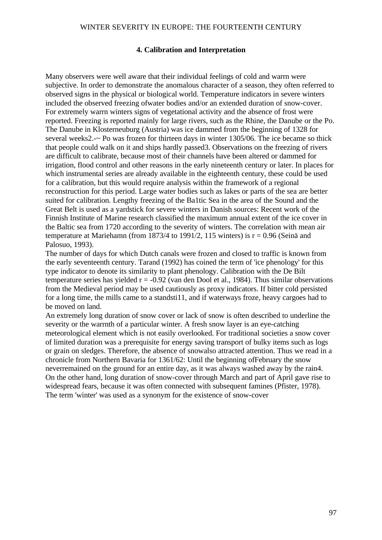# **4. Calibration and Interpretation**

Many observers were well aware that their individual feelings of cold and warrn were subjective. In order to demonstrate the anomalous character of a season, they often referred to observed signs in the physical or biological world. Temperature indicators in severe winters included the observed freezing ofwater bodies and/or an extended duration of snow-cover. For extremely warrn winters signs of vegetational activity and the absence of frost were reported. Freezing is reported mainly for large rivers, such as the Rhine, the Danube or the Po. The Danube in Klosterneuburg (Austria) was ice dammed from the beginning of 1328 for several weeks2.-~ Po was frozen for thirteen days in winter 1305/06. The ice became so thick that people could walk on it and ships hardly passed3. Observations on the freezing of rivers are difficult to calibrate, because most of their channels have been altered or dammed for irrigation, flood control and other reasons in the early nineteenth century or later. In places for which instrumental series are already available in the eighteenth century, these could be used for a calibration, but this would require analysis within the framework of a regional reconstruction for this period. Large water bodies such as lakes or parts of the sea are better suited for calibration. Lengthy freezing of the Ba1tic Sea in the area of the Sound and the Great Belt is used as a yardstick for severe winters in Danish sources: Recent work of the Finnish Institute of Marine research classified the maximum annual extent of the ice cover in the Baltic sea from 1720 according to the severity of winters. The correlation with mean air temperature at Mariehamn (from 1873/4 to 1991/2, 115 winters) is  $r = 0.96$  (Seinä and Palosuo, 1993).

The number of days for which Dutch canals were frozen and closed to traffic is known from the early seventeenth century. Tarand (1992) has coined the term of 'ice phenology' for this type indicator to denote its similarity to plant phenology. Calibration with the De Bilt temperature series has yielded  $r = -0.92$  (van den Dool et al., 1984). Thus similar observations from the Medieval period may be used cautiously as proxy indicators. If bitter cold persisted for a long time, the mills came to a standsti11, and if waterways froze, heavy cargoes had to be moved on land.

An extremely long duration of snow cover or lack of snow is often described to underline the severity or the warrnth of a particular winter. A fresh snow layer is an eye-catching meteorological element which is not easily overlooked. For traditional societies a snow cover of limited duration was a prerequisite for energy saving transport of bulky items such as logs or grain on sledges. Therefore, the absence of snowalso attracted attention. Thus we read in a chronicle from Northern Bavaria for 1361/62: Until the beginning ofFebruary the snow neverremained on the ground for an entire day, as it was always washed away by the rain4. On the other hand, long duration of snow-cover through March and part of April gave rise to widespread fears, because it was often connected with subsequent famines (Pfister, 1978). The term 'winter' was used as a synonym for the existence of snow-cover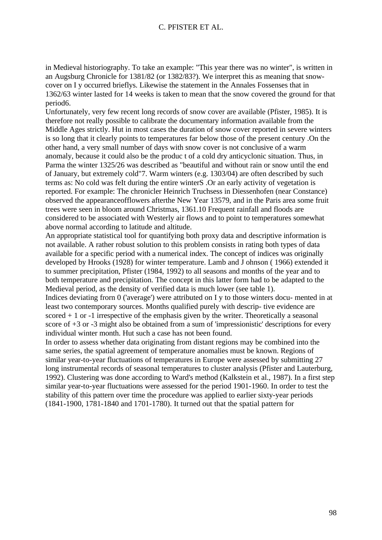in Medieval historiography. To take an example: "This year there was no winter", is written in an Augsburg Chronicle for 1381/82 (or 1382/83?). We interpret this as meaning that snowcover on I y occurred brieflys. Likewise the statement in the Annales Fossenses that in 1362/63 winter lasted for 14 weeks is taken to mean that the snow covered the ground for that period6.

Unfortunately, very few recent long records of snow cover are available (Pfister, 1985). It is therefore not really possible to calibrate the documentary information available from the Middle Ages strictly. Hut in most cases the duration of snow cover reported in severe winters is so long that it clearly points to temperatures far below those of the present century .On the other hand, a very small number of days with snow cover is not conclusive of a warm anomaly, because it could also be the produc t of a cold dry anticyclonic situation. Thus, in Parma the winter 1325/26 was described as "beautiful and without rain or snow until the end of January, but extremely cold"7. Warm winters (e.g. 1303/04) are often described by such terms as: No cold was feIt during the entire winterS .Or an early activity of vegetation is reported. For example: The chronicler Heinrich Truchsess in Diessenhofen (near Constance) observed the appearanceofflowers afterthe New Year 13579, and in the Paris area some fruit trees were seen in bloom around Christmas, 1361.10 Frequent rainfall and floods are considered to be associated with Westerly air flows and to point to temperatures somewhat above normal according to latitude and altitude.

An appropriate statistical tool for quantifying both proxy data and descriptive information is not available. A rather robust solution to this problem consists in rating both types of data available for a specific period with a numerical index. The concept of indices was originally developed by Hrooks (1928) for winter temperature. Lamb and J ohnson ( 1966) extended it to summer precipitation, Pfister (1984, 1992) to all seasons and months of the year and to both temperature and precipitation. The concept in this latter form had to be adapted to the Medieval period, as the density of verified data is much lower (see table 1).

Indices deviating frorn 0 ('average') were attributed on I y to those winters docu- mented in at least two contemporary sources. Months qualified purely with descrip- tive evidence are scored  $+1$  or  $-1$  irrespective of the emphasis given by the writer. Theoretically a seasonal score of +3 or -3 might also be obtained from a sum of 'impressionistic' descriptions for every individual winter month. Hut such a case has not been found.

In order to assess whether data originating from distant regions may be combined into the same series, the spatial agreement of temperature anomalies must be known. Regions of similar year-to-year fluctuations of temperatures in Europe were assessed by submitting 27 long instrumental records of seasonal temperatures to cluster analysis (Pfister and Lauterburg, 1992). Clustering was done according to Ward's method (Kalkstein et al., 1987). In a first step similar year-to-year fluctuations were assessed for the period 1901-1960. In order to test the stability of this pattern over time the procedure was applied to earlier sixty-year periods (1841-1900, 1781-1840 and 1701-1780). It turned out that the spatial pattern for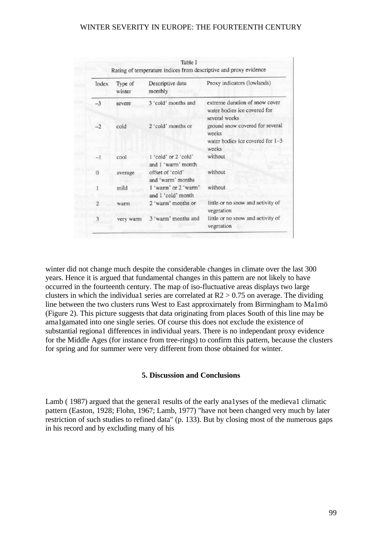| Rating of temperature indices from descriptive and proxy evidence |                   |                                            |                                                                                       |  |  |  |
|-------------------------------------------------------------------|-------------------|--------------------------------------------|---------------------------------------------------------------------------------------|--|--|--|
| Index                                                             | Type of<br>winter | Descriptive data<br>monthly                | Proxy indicators (lowlands)                                                           |  |  |  |
| $-3$                                                              | severe            | 3 'cold' months and                        | extreme duration of snow cover<br>water bodies ice covered for<br>several weeks       |  |  |  |
| $-2$                                                              | cold              | 2 'cold' months or                         | ground snow covered for several<br>weeks<br>water bodies ice covered for 1-3<br>weeks |  |  |  |
| $-1$                                                              | cool              | 1 'cold' or 2 'cold'<br>and 1 'warm' month | without                                                                               |  |  |  |
| $\Omega$                                                          | average           | offset of 'cold'<br>and 'warm' months      | without                                                                               |  |  |  |
| 1                                                                 | mild              | 1 'warm' or 2 'warm'<br>and 1 'cold' month | without                                                                               |  |  |  |
| $\overline{2}$                                                    | warm              | 2 'warm' months or                         | little or no snow and activity of<br>vegetation                                       |  |  |  |
| 3                                                                 | very warm         | 3 'warm' months and                        | little or no snow and activity of<br>vegetation                                       |  |  |  |

winter did not change much despite the considerable changes in climate over the last 300 years. Hence it is argued that fundamental changes in this pattern are not likely to have occurred in the fourteenth century. The map of iso-fluctuative areas displays two large clusters in which the individual series are correlated at  $R2 > 0.75$  on average. The dividing line between the two clusters runs West to East approxirnately from Birrningham to Ma1mö (Figure 2). This picture suggests that data originating from places South of this line may be ama1gamated into one single series. Of course this does not exclude the existence of substantial regiona1 differences in individual years. There is no independant proxy evidence for the Middle Ages (for instance from tree-rings) to confirm this pattern, because the clusters for spring and for summer were very different from those obtained for winter.

## **5. Discussion and Conclusions**

Lamb (1987) argued that the general results of the early analyses of the medieval clirnatic pattern (Easton, 1928; Flohn, 1967; Lamb, 1977) "have not been changed very much by later restriction of such studies to refined data" (p. 133). But by closing most of the numerous gaps in his record and by excluding many of his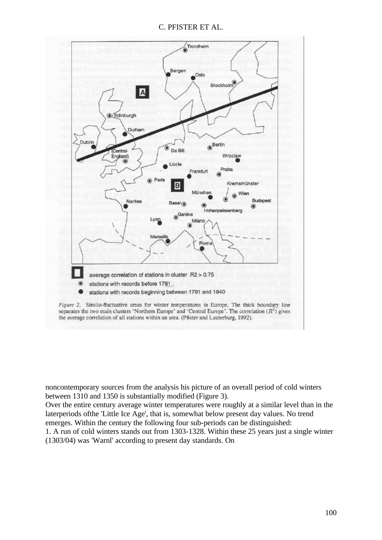

noncontemporary sources from the analysis his picture of an overall period of cold winters between 1310 and 1350 is substantially modified (Figure 3).

Over the entire century average winter temperatures were roughly at a similar level than in the laterperiods ofthe 'Little Ice Age', that is, somewhat below present day values. No trend emerges. Within the century the following four sub-periods can be distinguished:

1. A run of cold winters stands out from 1303-1328. Within these 25 years just a single winter (1303/04) was 'Warnl' according to present day standards. On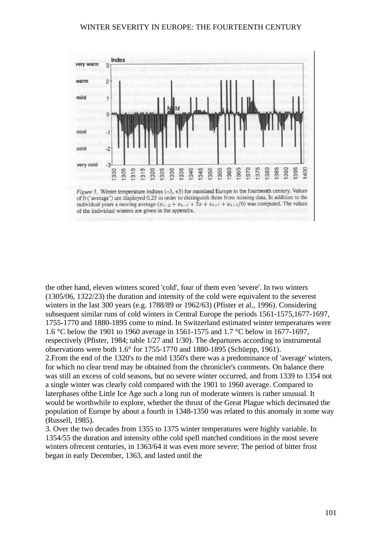



the other hand, eleven winters scored 'cold', four of them even 'severe'. In two winters (1305/06, 1322/23) the duration and intensity of the cold were equivalent to the severest winters in the last 300 years (e.g. 1788/89 or 1962/63) (Pfister et al., 1996). Considering subsequent similar runs of cold winters in Central Europe the periods 1561-1575,1677-1697, 1755-1770 and 1880-1895 come to mind. In Switzerland estimated winter temperatures were 1.6 °C below the 1901 to 1960 average in 1561-1575 and 1.7 °C below in 1677-1697, respectively (Pfister, 1984; table 1/27 and 1/30). The departures according to instrumental observations were both 1.6° for 1755-1770 and 1880-1895 (Schüepp, 1961). 2.From the end of the 1320's to the mid 1350's there was a predominance of 'average' winters, for which no clear trend may be obtained from the chronicler's comments. On balance there was still an excess of cold seasons, but no severe winter occurred, and from 1339 to 1354 not a single winter was clearly cold compared with the 1901 to 1960 average. Compared to laterphases ofthe Little Ice Age such a long run of moderate winters is rather unusual. It would be worthwhile to explore, whether the thrust of the Great Plague which decirnated the population of Europe by about a fourth in 1348-1350 was related to this anomaly in some way (Russell, 1985).

3. Over the two decades from 1355 to 1375 winter temperatures were highly variable. In 1354/55 the duration and intensity ofthe cold speIl matched conditions in the most severe winters ofrecent centuries, in 1363/64 it was even more severe: The period of bitter frost began in early December, 1363, and lasted until the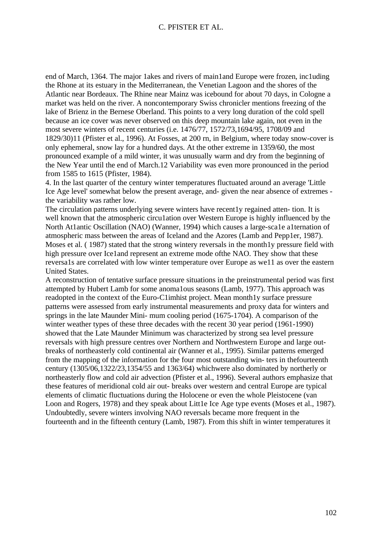end of March, 1364. The major 1akes and rivers of main1and Europe were frozen, inc1uding the Rhone at its estuary in the Mediterranean, the Venetian Lagoon and the shores of the Atlantic near Bordeaux. The Rhine near Mainz was icebound for about 70 days, in Cologne a market was held on the river. A noncontemporary Swiss chronicler mentions freezing of the lake of Brienz in the Bernese Oberland. This points to a very long duration of the cold spell because an ice cover was never observed on this deep mountain lake again, not even in the most severe winters of recent centuries (i.e. 1476/77, 1572/73,1694/95, 1708/09 and 1829/30)11 (Pfister et al., 1996). At Fosses, at 200 rn, in Belgium, where today snow-cover is only ephemeral, snow lay for a hundred days. At the other extreme in 1359/60, the most pronounced example of a mild winter, it was unusually warm and dry from the beginning of the New Year until the end of March.12 Variability was even more pronounced in the period from 1585 to 1615 (Pfister, 1984).

4. In the last quarter of the century winter temperatures fluctuated around an average 'Little Ice Age level' somewhat below the present average, and- given the near absence of extremes the variability was rather low.

The circulation patterns underlying severe winters have recently regained atten- tion. It is well known that the atmospheric circu1ation over Western Europe is highly influenced by the North At1antic Oscillation (NAO) (Wanner, 1994) which causes a large-sca1e a1ternation of atmospheric mass between the areas of Iceland and the Azores (Lamb and Pepp1er, 1987). Moses et al. (1987) stated that the strong wintery reversals in the month1y pressure field with high pressure over Ice1and represent an extreme mode of the NAO. They show that these reversa1s are correlated with low winter temperature over Europe as we11 as over the eastern United States.

A reconstruction of tentative surface pressure situations in the preinstrumental period was first attempted by Hubert Lamb for some anoma1ous seasons (Lamb, 1977). This approach was readopted in the context of the Euro-C1imhist project. Mean month1y surface pressure patterns were assessed from early instrumental measurements and proxy data for winters and springs in the late Maunder Mini- mum cooling period (1675-1704). A comparison of the winter weather types of these three decades with the recent 30 year period (1961-1990) showed that the Late Maunder Minimum was characterized by strong sea level pressure reversals with high pressure centres over Northern and Northwestern Europe and large outbreaks of northeasterly cold continental air (Wanner et al., 1995). Similar patterns emerged from the mapping of the information for the four most outstanding win- ters in thefourteenth century (1305/06,1322/23,1354/55 and 1363/64) whichwere also dominated by northerly or northeasterly flow and cold air advection (Pfister et al., 1996). Several authors emphasize that these features of meridional cold air out- breaks over western and central Europe are typical elements of climatic fluctuations during the Holocene or even the whole Pleistocene (van Loon and Rogers, 1978) and they speak about Litt1e Ice Age type events (Moses et al., 1987). Undoubtedly, severe winters involving NAO reversals became more frequent in the fourteenth and in the fifteenth century (Lamb, 1987). From this shift in winter temperatures it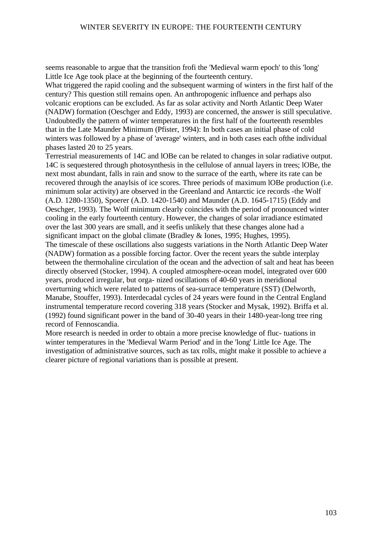seems reasonable to argue that the transition frofi the 'Medieval warm epoch' to this 'long' Little Ice Age took place at the beginning of the fourteenth century.

What triggered the rapid cooling and the subsequent warming of winters in the first half of the century? This question still remains open. An anthropogenic influence and perhaps also volcanic eroptions can be excluded. As far as solar activity and North Atlantic Deep Water (NADW) formation (Oeschger and Eddy, 1993) are concerned, the answer is still speculative. Undoubtedly the pattern of winter temperatures in the first half of the fourteenth resembles that in the Late Maunder Minimum (Pfister, 1994): In both cases an initial phase of cold winters was followed by a phase of 'average' winters, and in both cases each ofthe individual phases lasted 20 to 25 years.

Terrestrial measurements of 14C and lOBe can be related to changes in solar radiative output. 14C is sequestered through photosynthesis in the cellulose of annual layers in trees; lOBe, the next most abundant, falls in rain and snow to the surrace of the earth, where its rate can be recovered through the anaylsis of ice scores. Three periods of maximum lOBe production (i.e. minimum solar activity) are observed in the Greenland and Antarctic ice records -the Wolf (A.D. 1280-1350), Spoerer (A.D. 1420-1540) and Maunder (A.D. 1645-1715) (Eddy and Oeschger, 1993). The Wolf minimum clearly coincides with the period of pronounced winter cooling in the early fourteenth century. However, the changes of solar irradiance estimated over the last 300 years are small, and it seefis unlikely that these changes alone had a significant impact on the global climate (Bradley & Iones, 1995; Hughes, 1995). The timescale of these oscillations also suggests variations in the North Atlantic Deep Water (NADW) formation as a possible forcing factor. Over the recent years the subtle interplay between the thermohaline circulation of the ocean and the advection of salt and heat has beeen directly observed (Stocker, 1994). A coupled atmosphere-ocean model, integrated over 600 years, produced irregular, but orga- nized oscillations of 40-60 years in meridional overturning which were related to patterns of sea-surrace temperature (SST) (Delworth, Manabe, Stouffer, 1993). Interdecadal cycles of 24 years were found in the Central England instrumental temperature record covering 318 years (Stocker and Mysak, 1992). Briffa et al. (1992) found significant power in the band of 30-40 years in their 1480-year-long tree ring record of Fennoscandia.

More research is needed in order to obtain a more precise knowledge of fluc- tuations in winter temperatures in the 'Medieval Warm Period' and in the 'long' Little Ice Age. The investigation of administrative sources, such as tax rolls, might make it possible to achieve a clearer picture of regional variations than is possible at present.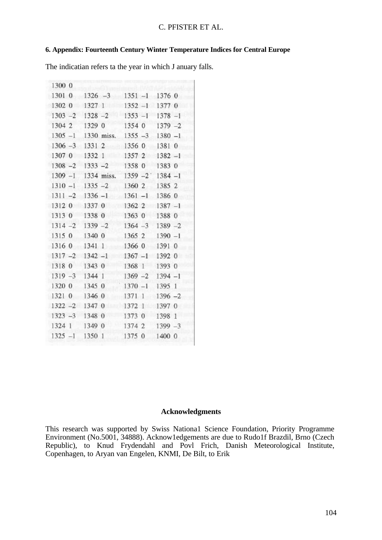# **6. Appendix: Fourteenth Century Winter Temperature Indices for Central Europe**

The indicatian refers ta the year in which J anuary falls.

| 1300 0     |                       |                              |            |
|------------|-----------------------|------------------------------|------------|
| 1301 0     | $1326 - 3$            | $1351 - 1$ 1376 0            |            |
| 1302 0     | 1327 1                | $1352 - 1$ 1377 0            |            |
| $1303 - 2$ | $1328 - 2$            | $1353 - 1$ 1378 -1           |            |
| 1304 2     | 1329 0                | 1354 0                       | $1379 - 2$ |
| $1305 - 1$ | 1330 miss. $1355 - 3$ |                              | $1380 - 1$ |
| $1306 - 3$ | 1331 2 1356 0         |                              | 1381 0     |
| 1307 0     | 1332 1                | 1357 2                       | $1382 - 1$ |
| $1308 - 2$ | $1333 - 2$            | 1358 0                       | 1383 0     |
| $1309 - 1$ | 1334 miss.            | $1359 - 2$                   | $1384 - 1$ |
| $1310 - 1$ | $1335 - 2$            | 1360 2                       | 1385 2     |
|            | $1311 - 2$ $1336 - 1$ | $1361 - 1$                   | 1386 0     |
|            | 1312 0 1337 0         | $1362$ 2 $1387 - 1$          |            |
| 1313 0     | 1338 0                | 1363 0                       | 1388 0     |
| $1314 - 2$ | $1339 - 2$            | $1364 - 3$                   | $1389 - 2$ |
| 1315 0     | 1340 0                | 1365 2                       | $1390 - 1$ |
| 1316 0     | 1341 1                | 1366 0                       | 1391 0     |
| $1317 - 2$ | $1342 - 1$            | $1367 - 1$                   | 1392 0     |
| 1318 0     | 1343 0                | 1368 1 1393 0                |            |
| $1319 - 3$ | 1344 1                | $1369 - 2$                   | $1394 - 1$ |
| 1320 0     | 1345 0                | $1370 - 1$                   | 1395 1     |
| 1321 0     | 1346 0                | $1371 \quad 1 \quad 1396 -2$ |            |
| $1322 - 2$ | 1347 0                | 1372 1 1397 0                |            |
| $1323 - 3$ | 1348 0                | 1373 0                       | 1398 1     |
| 1324 1     | 1349 0                | 1374 2                       | $1399 - 3$ |
| $1325 - 1$ | 1350 1                | 1375 0                       | 1400 0     |

# **Acknowledgments**

This research was supported by Swiss Nationa1 Science Foundation, Priority Programme Environment (No.5001, 34888). Acknow1edgements are due to Rudo1f Brazdil, Brno (Czech Republic), to Knud Frydendahl and Povl Frich, Danish Meteorological Institute, Copenhagen, to Aryan van Engelen, KNMI, De Bilt, to Erik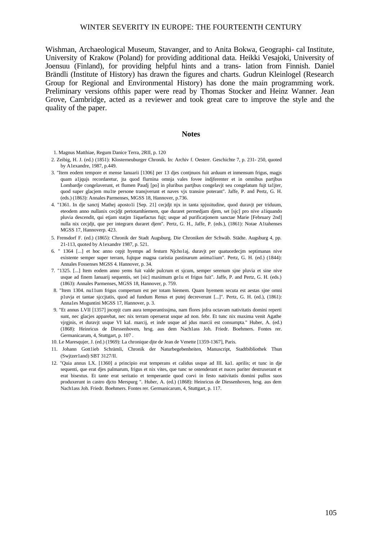Wishman, Archaeological Museum, Stavanger, and to Anita Bokwa, Geographi- cal Institute, University of Krakow (Poland) for providing additional data. Heikki Vesajoki, University of Joensuu (Finland), for providing helpful hints and a trans- lation from Finnish. Daniel Brändli (Institute of History) has drawn the figures and charts. Gudrun Kleinlogel (Research Group for Regional and Environmental History) has done the main programming work. Preliminary versions ofthis paper were read by Thomas Stocker and Heinz Wanner. Jean Grove, Cambridge, acted as a reviewer and took great care to improve the style and the quality of the paper.

#### **Notes**

1. Magnus Matthiae, Regum Danice Terra, 2RII, p. 120

- 2. Zeibig, H. J. (ed.) (1851): Klosterneuburger Chronik. In: Archiv f. Oesterr. Geschichte 7, p. 231- 250, quoted by A1exandre, 1987, p.449.
- 3. "Item eodem tempore et mense Ianuarii [1306] per 13 djes contjnuos fuit arduum et inmensum frigus, magjs quam a1jqujs recordaretur, jta quod flurnina omnja vales fovee indjferenter et in omnibus partjbus Lombardje congelaverunt, et flumen Paudj [po] in pluribus partjbus congelavjt seu congelatum fujt ta1jter, quod super glacjem mu1te persone transjverunt et naves vjx transire poterant". Jaffe, P. and Pertz, G. H. (eds.) (1863): Annales Parmenses, MGSS 18, Hannover, p.736.
- 4. "1361. In dje sanctj Mathej aposto1i [Sep. 21] cecjdjt njx in tanta spjssitudine, quod duravjt per triduum, eteodem anno nullanix cecjdjt pertotamhiemem, que duraret permedjam djem, set [sjc] pro nive a1iquando pluvia descendit, qui etjam statjm 1iquefactus fujt; usque ad purificatjonem sanctae Marie [February 2nd] nulla nix cecjdjt, que per integrarn duraret djem". Pertz, G. H., Jaffe, P. (eds.), (1861): Notae A1tahenses MGSS 17, Hannoverp. 423.
- 5. Frensdorf F. (ed.) (1865): Chronik der Stadt Augsburg. Die Chroniken der Schwäb. Städte. Augsburg 4, pp. 21-113, quoted by A1exandre 1987, p. 521.
- 6. " 1364 [...] et hoc anno cepjt hyemps ad festurn Njcho1aj, duravjt per quatuordecjm septimanas nive existente semper super terram, fujtque magna caristia pastinarum anima1ium". Pertz, G. H. (ed.) (1844): Annales Fossenses MGSS 4. Hannover, p. 34.
- 7. "1325. [...] Item eodem anno yems fuit valde pulcrum et sjcum, semper serenum sjne pluvia et sine nive usque ad finem Ianuarij sequentis, set [sic] maximum ge1u et frigus fuit". Jaffe, P. and Pertz, G. H. (eds.) (1863): Annales Parmenses, MGSS 18, Hannover, p. 759.
- 8. "Item 1304. nu11um frigus compertum est per totam hiemem. Quam hyemem secuta est aestas sjne omni p1uvja et tantae sjccjtatis, quod ad fundum Renus et putej decreverunt [...]". Pertz, G. H. (ed.), (1861): Anna1es Moguntini MGSS 17, Hannover, p. 3.
- 9. "Et annus LVII [1357] jncepjt cum aura temperantissjma, nam flores jnfra octavam nativitatis domini reperti sunt, nec glacjes apparebat, nec nix terram operuerat usque ad non. febr. Et tunc nix maxima venit Agathe vjrgjnis, et duravjt usque VI kaI. marcij, et inde usque ad jdus marcii est consumpta." Huber, A. (ed.) (1868): Heinricus de Diessenhoven, hrsg. aus dem Nach1ass Joh. Friedr. Boehmers. Fontes rer. Germanicarum, 4, Stuttgart, p. 107 .
- 10. Le Maresqujer, J. (ed.) (1969): La chronique djte de Jean de Venette [1359-1367], Paris.
- 11. Johann Gott1ieb Schrämli, Chronik der Naturbegebenheiten, Manuscript, Stadtbibliothek Thun (Swjtzer1and) SBT 3127/II.
- 12. "Quia annus LX. [1360] a principio erat temperans et calidus usque ad III. ka1. aprilis; et tunc in dje sequenti, que erat djes palmarum, frigus et nix vites, que tunc se ostenderant et nuces pariter destruxerant et erat bisextus. Et tante erat seritatio et temperantie quod corvi in festo nativitatis domini pullos suos produxerunt in castro djcto Merspurg ". Huber, A. (ed.) (1868): Heinricus de Diessenhoven, hrsg. aus dem Nach1ass Joh. Friedr. Boehmers. Fontes rer. Germanicarum, 4, Stuttgart, p. 117.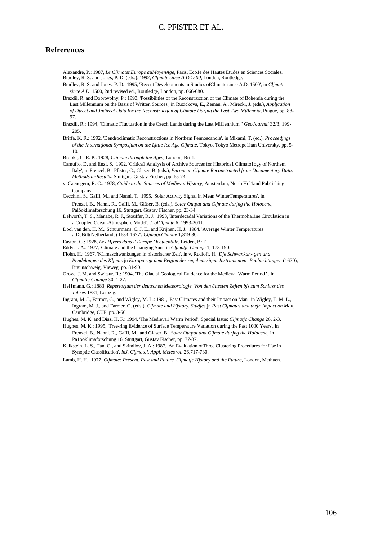#### **Refrerences**

- Alexandre, P.: 1987, *Le CljmatenEurope auMoyenAge,* Paris, Eco1e des Hautes Etudes en Sciences Sociales. Bradley, R. S. and Jones, P. D. (eds.): 1992, *Cljmate sjnce A.D.1500,* London, Routledge.
- Bradley, R. S. and Jones, P. D.: 1995, 'Recent Developments in Studies ofClimate since A.D. 1500', in *Cljmate sjnce A.D.* 1500, 2nd revised ed., Routledge, London, pp. 666-680.
- Brazdil, R. and Dobrovolny, P.: 1993, 'Possibilities of the Reconstruction of the Climate of Bohemia during the Last Millennium on the Basis of Written Sources', in Ruzickova, E., Zeman, A., Mirecki, J. (eds.), *Appljcatjon*  of Djrect and Jndjrect Data for the Reconstruction of Cljmate Durjng the Last Two Mjllennja, Prague, pp. 88-97.
- Brazdil, R.: 1994, 'Climatic FIuctuation in the Czech Lands during the Last Mil1ennium " *GeoJournal* 32/3, 199- 205.
- Briffa, K. R.: 1992, 'Dendroclimatic Reconstructions in Northem Fennoscandia', in Mikami, T. (ed.), *Proceedjngs of the Jnternatjonal Symposjum on the Ljttle Ice Age Cljmate,* Tokyo, Tokyo Metropo1itan University, pp. 5- 10.
- Brooks, C. E. P.: 1928, *Cljmate through the Ages,* London, Bril1.
- Camuffo, D. and Enzi, S.: 1992, 'Critica1 Ana1ysis of Archive Sources for Historica1 Climato1ogy of Northem Italy', in Frenzel, B., Pfister, C., Gläser, B. (eds.), *European Cljmate Reconstructed from Documentary Data: Methods a~Results,* Stuttgart, Gustav Fischer, pp. 65-74.
- v. Caenegem, R. C.: 1978, *Gujde to the Sources of Medjeval Hjstory,* Amsterdam, North Hol1and Pub1ishing Company.
- Cecchini, S., GaIIi, M., and Nanni, T.: 1995, 'Solar Activity Signal in Mean WinterTemperatures', in Frenzel, B., Nanni, R., GaIIi, M., Gläser, B. (eds.), *Solar Output and Cljmate durjng the Holocene,*  Palöoklimaforschung 16, Stuttgart, Gustav Fischer, pp. 23-34.
- Delworth, T. S., Manabe, R. J., Stouffer, R. J.: 1993, 'Interdecadal Variations of the Thermoha1ine Circulation in a Coupled Ocean-Atmosphere Model', *J. ofCljmate* 6, 1993-2011.
- Dool van den, H. M., Schuurmans, C. J. E., and Krijnen, H. J.: 1984, 'Average Winter Temperatures atDeBilt(Netherlands) 1634-1677', *CljmatjcChange* 1,319-30.
- Easton, C.: 1928, *Les Hjvers dans l' Europe Occjdentale,* Leiden, Bril1.
- Eddy, J. A.: 1977, 'Climate and the Changing Sun', in *Cljmatjc Change* 1, 173-190.
- FIohn, H.: 1967, 'K1imaschwankungen in historischer Zeit', in v. Rudloff, H., *Dje Schwankun- gen und Pendelungen des Kljmas* jn *Europa sejt dem Begjnn der regelmässjgen Jnstrumenten- Beobachtungen* (1670), Braunschweig, Vieweg, pp. 81-90.
- Grove, J. M. and Switsur, R.: 1994, 'The Glacial Geological Evidence for the Medieval Warm Period ' , in *Cljmatic Change* 30, 1-27.
- Hel1mann, G.: 1883, *Repertorjum der deutschen Meteorologje. Von den ältesten Zejten bjs zum Schluss des Jahres* 1881, Leipzig.
- Ingram, M. J., Farmer, G., and Wigley, M. L.: 1981, 'Past Climates and their Impact on Man', in Wigley, T. M. L., Ingram, M. J., and Farmer, G. (eds.), *Cljmate and Hjstory. Studjes* jn *Past Cljmates and thejr Jmpact on Man,*  Cambridge, CUP, pp. 3-50.
- Hughes, M. K. and Diaz, H. F.: 1994, 'The Medieva1 Warm Period', Special Issue: *Cljmatjc Change* 26, 2-3.
- Hughes, M. K.: 1995, 'Tree-ring Evidence of Surface Temperature Variation during the Past 1000 Years', in Frenzel, B., Nanni, R., GaIIi, M., and Gläser, B., *Solar Output and Cljmate durjng the Holocene,* in Pa1öoklimaforschung 16, Stuttgart, Gustav Fischer, pp. 77-87.
- Kalkstein, L. S., Tan, G., and Skindlov, J. A.: 1987, 'An Evaluation ofThree Clustering Procedures for Use in Synoptic Classification', *inJ. Cljmatol. Appl. Meteorol.* 26,717-730.
- Lamb, H. H.: 1977, *Cljmate: Present. Past and Future. Cljmatjc Hjstory and the Future*, London, Methuen.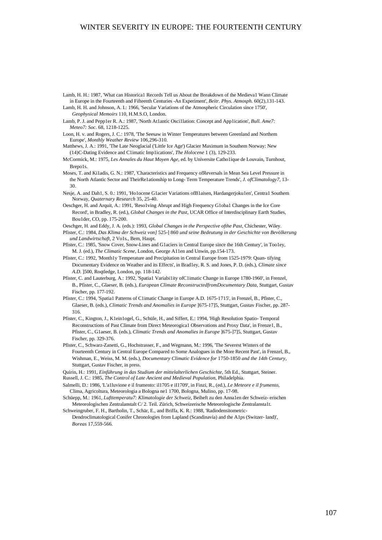Lamb, H. H.: 1987, 'What can Historica1 Records Tell us About the Breakdown of the Medieva1 Wann Climate in Europe in the Fourteenth and Fifteenth Centuries -An Experiment', *Beitr. Phys. Atmosph.* 60(2),131-143.

Lamb, H. H. and Johnson, A. I.: 1966, 'Secular Variations of the Atmospheric Circulation since 1750', *Geophysical Memoirs* 110, H.M.S.O, London.

- Lamb, P. J. and Pepp1er R. A.: 1987, 'North At1antic Osci1lation: Concept and App1ication', *Bull. Ame7: Meteo7: Soc.* 68, 1218-1225.
- Loon, H. v. and Rogers, J. C.: 1978, 'The Seesaw in Winter Temperatures between Greenland and Northem Europe', *Monthly Weather Review* 106,296-310.

Matthews, J. A.: 1991, 'The Late Neoglacial ('Little Ice Age') Glacier Maximum in Southem Norway: New (14)C-Dating Evidence and C1imatic Imp1ications', *The Holocene* 1 (3), 129-233.

- McCormick, M.: 1975, *Les Annales du Haut Moyen Age,* ed. by Universite Catho1ique de Louvain, Turnhout, Brepo1s.
- Moses, T. and Ki1adis, G. N.: 1987, 'Characteristics and Frequency ofReversals in Mean Sea Level Pressure in the North Atlantic Sector and TheirRe1ationship to Long- Term Temperature Trends', *J. ofClimatology7,* 13- 30.

Nesje, A. and Dah1, S. 0.: 1991, 'Ho1ocene G1acier Variations ofB1aisen, Hardangerjoku1en', Centra1 Southem Norway, *Quaternary Research* 35, 25-40.

Oeschger, H. and Arquit, A.: 1991, 'Reso1ving Abrupt and High Frequency G1oba1 Changes in the Ice Core Record', in Bradley, R. (ed.), *Global Changes in the Past,* UCAR Office of Interdisciplinary Earth Studies, Bou1der, CO, pp. 175-200.

Oeschger, H. and Eddy, J. A. (eds.): 1993, *Global Changes in the Perspective ofthe Past,* Chichester, Wiley.

Pfister, C.: 1984, *Das Klima der Schweiz von]* 525-] 860 *und seine Bedeutung in der Geschichte von Bevölkerung und Landwirtschaft,* 2 Vo1s., Bem, Haupt.

Pfister, C.: 1985, 'Snow Cover, Snow-Lines and G1aciers in Central Europe since the 16th Century', in Too1ey, M. J. (ed.), *The Climatic Scene,* London, George A11en and Unwin, pp.154-173.

Pfister, C.: 1992, 'Month1y Temperature and Precipitation in Central Europe from 1525-1979: Quan- tifying Documentary Evidence on Weather and its Effects', in Brad1ey, R. S. and Jones, P. D. (eds.), *Climate since A.D.* ]500, Roqtledge, London, pp. 118-142.

- Pfister, C. and Lauterburg, A.: 1992, 'Spatia1 Variabi1ity ofC1imatic Change in Europe 1780-1960', in Frenzel, B., Pfister, C., Glaeser, B. (eds.), *European Climate ReconstructedfromDocumentary Data,* Stuttgart, Gustav Fischer, pp. 177-192.
- Pfister, C.: 1994, 'Spatia1 Patterns of C1imatic Change in Europe A.D. 1675-1715', in Frenzel, B., Pfister, C., Glaeser, B. (eds.), *Climatic Trends and Anomalies in Europe* ]675-17]5, Stuttgart, Gustav Fischer, pp. 287- 316.
- Pfister, C., Kington, J., K1ein1ogel, G., Schüle, H., and Siffert, E.: 1994, 'High Resolution Spatio- Temporal Reconstructions of Past Climate from Direct Meteorogica1 Observations and Proxy Data', in Frenze1, B., Pfister, C., G1aeser, B. (eds.), *Climatic Trends and Anomalies in Europe* ]675-]7]5, Stuttgart, Gustav Fischer, pp. 329-376.

Pfister, C., Schwarz-Zanetti, G., Hochstrasser, F., and Wegmann, M.: 1996, 'The Severest Winters of the Fourteenth Century in Central Europe Compared to Some Analogues in the More Recent Past', in Frenzel, B., Wishman, E., Weiss, M. M. (eds.), *Documentary Climatic Evidence for* 1750-1850 *and the 14th Century,*  Stuttgart, Gustav Fischer, in press.

Quirin, H.: 1991, *Einführung in das Studium der mittelalterlichen Geschichte,* 5th Ed., Stuttgart, Steiner. Russell, J. C.: 1985, *The Control of Late Ancient and Medieval Population,* Philadelphia.

Salmelli, D.: 1986, 'L'a1luvione e il frumento: il1705 e iI1709', in Finzi, R., (ed.), *Le Meteore e il frumento,*  Clima, Agricoltura, Meteorologia a Bologna ne1 1700, Bologna, Mulino, pp. 17-98.

Schüepp, M.: 1961, *Lufttemperatu7: Klimatologie der Schweiz,* Beiheft zu den Anna1en der Schweiz- erischen Meteorologischen Zentralanstalt C/ 2. Teil. Zürich, Schweizerische Meteorologische Zentralansta1t.

Schweingruber, F. H., Bartholin, T., Schär, E., and Briffa, K. R.: 1988, 'Radiodensitometric-Dendroclimatological Conifer Chronologies from Lapland (Scandinavia) and the A1ps (Switzer- land)', *Boreas* 17,559-566.